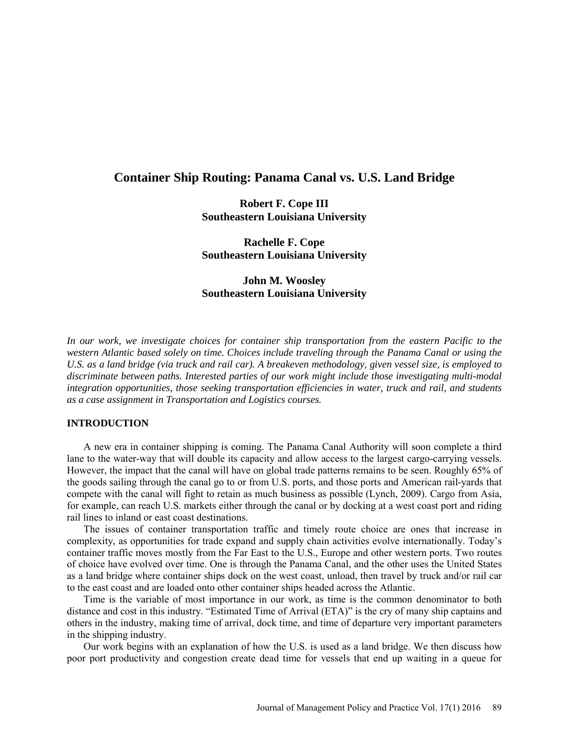# **Container Ship Routing: Panama Canal vs. U.S. Land Bridge**

**Robert F. Cope III Southeastern Louisiana University**

**Rachelle F. Cope Southeastern Louisiana University**

# **John M. Woosley Southeastern Louisiana University**

*In our work, we investigate choices for container ship transportation from the eastern Pacific to the western Atlantic based solely on time. Choices include traveling through the Panama Canal or using the U.S. as a land bridge (via truck and rail car). A breakeven methodology, given vessel size, is employed to discriminate between paths. Interested parties of our work might include those investigating multi-modal integration opportunities, those seeking transportation efficiencies in water, truck and rail, and students as a case assignment in Transportation and Logistics courses.* 

#### **INTRODUCTION**

A new era in container shipping is coming. The Panama Canal Authority will soon complete a third lane to the water-way that will double its capacity and allow access to the largest cargo-carrying vessels. However, the impact that the canal will have on global trade patterns remains to be seen. Roughly 65% of the goods sailing through the canal go to or from U.S. ports, and those ports and American rail-yards that compete with the canal will fight to retain as much business as possible (Lynch, 2009). Cargo from Asia, for example, can reach U.S. markets either through the canal or by docking at a west coast port and riding rail lines to inland or east coast destinations.

The issues of container transportation traffic and timely route choice are ones that increase in complexity, as opportunities for trade expand and supply chain activities evolve internationally. Today's container traffic moves mostly from the Far East to the U.S., Europe and other western ports. Two routes of choice have evolved over time. One is through the Panama Canal, and the other uses the United States as a land bridge where container ships dock on the west coast, unload, then travel by truck and/or rail car to the east coast and are loaded onto other container ships headed across the Atlantic.

Time is the variable of most importance in our work, as time is the common denominator to both distance and cost in this industry. "Estimated Time of Arrival (ETA)" is the cry of many ship captains and others in the industry, making time of arrival, dock time, and time of departure very important parameters in the shipping industry.

Our work begins with an explanation of how the U.S. is used as a land bridge. We then discuss how poor port productivity and congestion create dead time for vessels that end up waiting in a queue for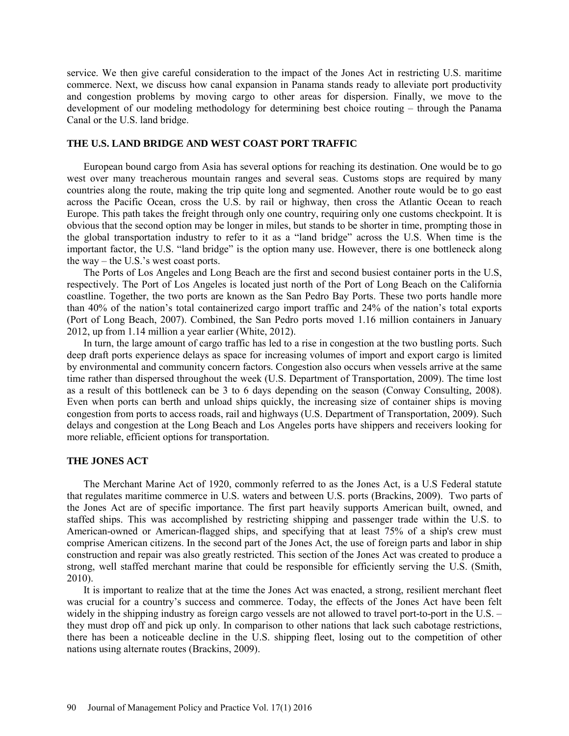service. We then give careful consideration to the impact of the Jones Act in restricting U.S. maritime commerce. Next, we discuss how canal expansion in Panama stands ready to alleviate port productivity and congestion problems by moving cargo to other areas for dispersion. Finally, we move to the development of our modeling methodology for determining best choice routing – through the Panama Canal or the U.S. land bridge.

### **THE U.S. LAND BRIDGE AND WEST COAST PORT TRAFFIC**

European bound cargo from Asia has several options for reaching its destination. One would be to go west over many treacherous mountain ranges and several seas. Customs stops are required by many countries along the route, making the trip quite long and segmented. Another route would be to go east across the Pacific Ocean, cross the U.S. by rail or highway, then cross the Atlantic Ocean to reach Europe. This path takes the freight through only one country, requiring only one customs checkpoint. It is obvious that the second option may be longer in miles, but stands to be shorter in time, prompting those in the global transportation industry to refer to it as a "land bridge" across the U.S. When time is the important factor, the U.S. "land bridge" is the option many use. However, there is one bottleneck along the way – the U.S.'s west coast ports.

The Ports of Los Angeles and Long Beach are the first and second busiest container ports in the U.S, respectively. The Port of Los Angeles is located just north of the Port of Long Beach on the California coastline. Together, the two ports are known as the San Pedro Bay Ports. These two ports handle more than 40% of the nation's total containerized cargo import traffic and 24% of the nation's total exports (Port of Long Beach, 2007). Combined, the San Pedro ports moved 1.16 million containers in January 2012, up from 1.14 million a year earlier (White, 2012).

In turn, the large amount of cargo traffic has led to a rise in congestion at the two bustling ports. Such deep draft ports experience delays as space for increasing volumes of import and export cargo is limited by environmental and community concern factors. Congestion also occurs when vessels arrive at the same time rather than dispersed throughout the week (U.S. Department of Transportation, 2009). The time lost as a result of this bottleneck can be 3 to 6 days depending on the season (Conway Consulting, 2008). Even when ports can berth and unload ships quickly, the increasing size of container ships is moving congestion from ports to access roads, rail and highways (U.S. Department of Transportation, 2009). Such delays and congestion at the Long Beach and Los Angeles ports have shippers and receivers looking for more reliable, efficient options for transportation.

#### **THE JONES ACT**

The Merchant Marine Act of 1920, commonly referred to as the Jones Act, is a U.S Federal statute that regulates maritime commerce in U.S. waters and between U.S. ports (Brackins, 2009). Two parts of the Jones Act are of specific importance. The first part heavily supports American built, owned, and staffed ships. This was accomplished by restricting shipping and passenger trade within the U.S. to American-owned or American-flagged ships, and specifying that at least 75% of a ship's crew must comprise American citizens. In the second part of the Jones Act, the use of foreign parts and labor in ship construction and repair was also greatly restricted. This section of the Jones Act was created to produce a strong, well staffed merchant marine that could be responsible for efficiently serving the U.S. (Smith, 2010).

It is important to realize that at the time the Jones Act was enacted, a strong, resilient merchant fleet was crucial for a country's success and commerce. Today, the effects of the Jones Act have been felt widely in the shipping industry as foreign cargo vessels are not allowed to travel port-to-port in the U.S. – they must drop off and pick up only. In comparison to other nations that lack such cabotage restrictions, there has been a noticeable decline in the U.S. shipping fleet, losing out to the competition of other nations using alternate routes (Brackins, 2009).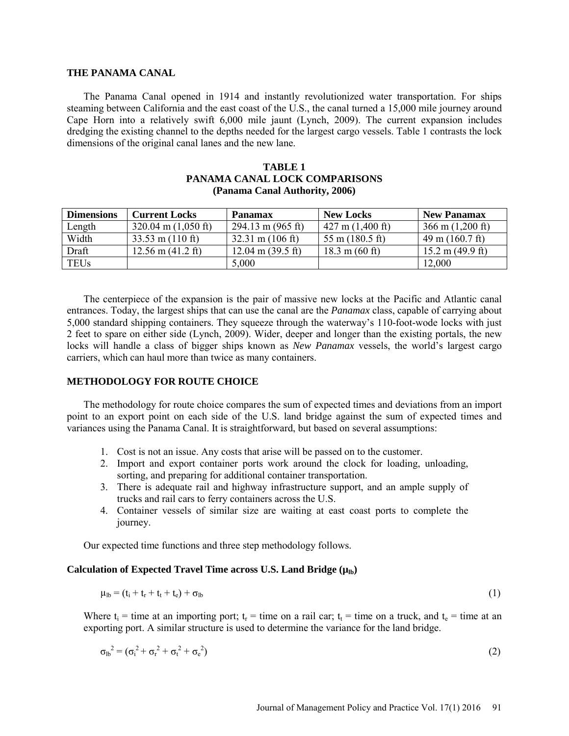#### **THE PANAMA CANAL**

The Panama Canal opened in 1914 and instantly revolutionized water transportation. For ships steaming between California and the east coast of the U.S., the canal turned a 15,000 mile journey around Cape Horn into a relatively swift 6,000 mile jaunt (Lynch, 2009). The current expansion includes dredging the existing channel to the depths needed for the largest cargo vessels. Table 1 contrasts the lock dimensions of the original canal lanes and the new lane.

| (Panama Canal Authority, 2006) |                               |                                     |                                  |                                    |
|--------------------------------|-------------------------------|-------------------------------------|----------------------------------|------------------------------------|
| <b>Dimensions</b>              | <b>Current Locks</b>          | <b>Panamax</b>                      | <b>New Locks</b>                 | <b>New Panamax</b>                 |
| Length                         | $320.04 \text{ m}$ (1,050 ft) | $294.13 \text{ m} (965 \text{ ft})$ | $427 \text{ m}$ (1,400 ft)       | $366 \text{ m}$ (1,200 ft)         |
| Width                          | $33.53$ m (110 ft)            | $32.31 \text{ m} (106 \text{ ft})$  | 55 m $(180.5 \text{ ft})$        | $49 \text{ m}$ (160.7 ft)          |
| Draft                          | $12.56$ m $(41.2$ ft)         | $12.04 \text{ m} (39.5 \text{ ft})$ | $18.3 \text{ m} (60 \text{ ft})$ | $15.2 \text{ m} (49.9 \text{ ft})$ |
| <b>TEUs</b>                    |                               | 5,000                               |                                  | 12,000                             |

# **TABLE 1 PANAMA CANAL LOCK COMPARISONS**

The centerpiece of the expansion is the pair of massive new locks at the Pacific and Atlantic canal entrances. Today, the largest ships that can use the canal are the *Panamax* class, capable of carrying about 5,000 standard shipping containers. They squeeze through the waterway's 110-foot-wode locks with just 2 feet to spare on either side (Lynch, 2009). Wider, deeper and longer than the existing portals, the new locks will handle a class of bigger ships known as *New Panamax* vessels, the world's largest cargo carriers, which can haul more than twice as many containers.

#### **METHODOLOGY FOR ROUTE CHOICE**

The methodology for route choice compares the sum of expected times and deviations from an import point to an export point on each side of the U.S. land bridge against the sum of expected times and variances using the Panama Canal. It is straightforward, but based on several assumptions:

- 1. Cost is not an issue. Any costs that arise will be passed on to the customer.
- 2. Import and export container ports work around the clock for loading, unloading, sorting, and preparing for additional container transportation.
- 3. There is adequate rail and highway infrastructure support, and an ample supply of trucks and rail cars to ferry containers across the U.S.
- 4. Container vessels of similar size are waiting at east coast ports to complete the journey.

Our expected time functions and three step methodology follows.

#### Calculation of Expected Travel Time across U.S. Land Bridge ( $\mu_{lb}$ )

$$
\mu_{\rm lb} = (t_{\rm i} + t_{\rm r} + t_{\rm t} + t_{\rm e}) + \sigma_{\rm lb} \tag{1}
$$

Where  $t_i$  = time at an importing port;  $t_r$  = time on a rail car;  $t_t$  = time on a truck, and  $t_e$  = time at an exporting port. A similar structure is used to determine the variance for the land bridge.

$$
\sigma_{\rm lb}^2 = (\sigma_{\rm i}^2 + \sigma_{\rm r}^2 + \sigma_{\rm t}^2 + \sigma_{\rm e}^2) \tag{2}
$$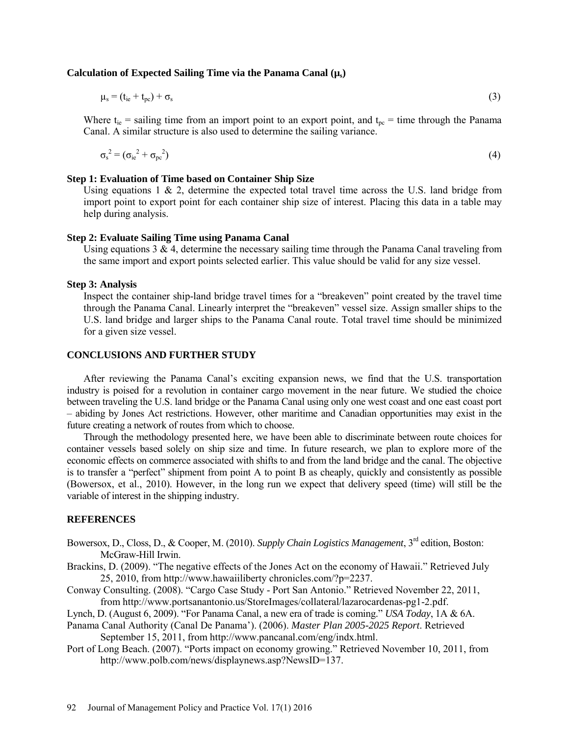#### Calculation of Expected Sailing Time via the Panama Canal ( $\mu$ <sub>s</sub>)

$$
\mu_{\rm s} = (t_{\rm ie} + t_{\rm pc}) + \sigma_{\rm s} \tag{3}
$$

Where  $t_{ie}$  = sailing time from an import point to an export point, and  $t_{pe}$  = time through the Panama Canal. A similar structure is also used to determine the sailing variance.

$$
\sigma_s^2 = (\sigma_{ie}^2 + \sigma_{pe}^2) \tag{4}
$$

#### **Step 1: Evaluation of Time based on Container Ship Size**

Using equations  $1 \& 2$ , determine the expected total travel time across the U.S. land bridge from import point to export point for each container ship size of interest. Placing this data in a table may help during analysis.

## **Step 2: Evaluate Sailing Time using Panama Canal**

Using equations  $3 \& 4$ , determine the necessary sailing time through the Panama Canal traveling from the same import and export points selected earlier. This value should be valid for any size vessel.

#### **Step 3: Analysis**

Inspect the container ship-land bridge travel times for a "breakeven" point created by the travel time through the Panama Canal. Linearly interpret the "breakeven" vessel size. Assign smaller ships to the U.S. land bridge and larger ships to the Panama Canal route. Total travel time should be minimized for a given size vessel.

## **CONCLUSIONS AND FURTHER STUDY**

After reviewing the Panama Canal's exciting expansion news, we find that the U.S. transportation industry is poised for a revolution in container cargo movement in the near future. We studied the choice between traveling the U.S. land bridge or the Panama Canal using only one west coast and one east coast port – abiding by Jones Act restrictions. However, other maritime and Canadian opportunities may exist in the future creating a network of routes from which to choose.

Through the methodology presented here, we have been able to discriminate between route choices for container vessels based solely on ship size and time. In future research, we plan to explore more of the economic effects on commerce associated with shifts to and from the land bridge and the canal. The objective is to transfer a "perfect" shipment from point A to point B as cheaply, quickly and consistently as possible (Bowersox, et al., 2010). However, in the long run we expect that delivery speed (time) will still be the variable of interest in the shipping industry.

#### **REFERENCES**

- Bowersox, D., Closs, D., & Cooper, M. (2010). *Supply Chain Logistics Management*, 3rd edition, Boston: McGraw-Hill Irwin.
- Brackins, D. (2009). "The negative effects of the Jones Act on the economy of Hawaii." Retrieved July 25, 2010, from http://www.hawaiiliberty chronicles.com/?p=2237.
- Conway Consulting. (2008). "Cargo Case Study Port San Antonio." Retrieved November 22, 2011, from [http://www.portsanantonio.us/StoreImages/collateral/lazarocardenas-pg1-2.pdf.](http://www.portsanantonio.us/StoreImages/collateral/lazarocardenas-pg1-2.pdf)
- Lynch, D. (August 6, 2009). "For Panama Canal, a new era of trade is coming." *USA Today*, 1A & 6A.
- Panama Canal Authority (Canal De Panama'). (2006). *Master Plan 2005-2025 Report*. Retrieved

September 15, 2011, from http://www.pancanal.com/eng/indx.html.

Port of Long Beach. (2007). "Ports impact on economy growing." Retrieved November 10, 2011, from [http://www.polb.com/news/displaynews.asp?NewsID=137.](http://www.polb.com/news/displaynews.asp?NewsID=137)